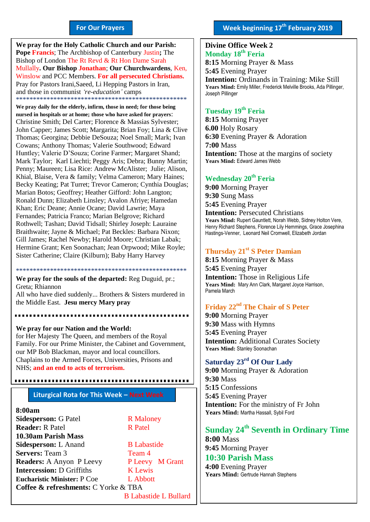#### **For Our Prayers**

arted Mullally**. Our Bishop Jonathan**; **Our Churchwardens**, Ken, **We pray for the Holy Catholic Church and our Parish: Pope Francis**; The Archbishop of Canterbury Justin**;** The Bishop of London The Rt Revd & Rt Hon Dame Sarah Winslow and PCC Members. **For all persecuted Christians.** Pray for Pastors Irani,Saeed, Li Hepping Pastors in Iran, and those in communist *'re-education'* camps \*\*\*\*\*\*\*\*\*\*\*\*\*\*\*\*\*\*\*\*\*\*\*\*\*\*\*\*\*\*\*\*\*\*\*\*\*\*\*\*\*\*\*\*\*\*\*\*\*\*

**We pray daily for the elderly, infirm, those in need; for those being nursed in hospitals or at home; those who have asked for prayers**: Christine Smith; Del Carter; Florence & Massias Sylvester; John Capper; James Scott; Margarita; Brian Foy; Lina & Clive Thomas; Georgina; Debbie DeSouza; Noel Small; Mark; Ivan Cowans; Anthony Thomas; Valerie Southwood; Edward Huntley; Valerie D'Souza; Corine Farmer; Margaret Shand; Mark Taylor; Karl Liechti; Peggy Aris; Debra; Bunny Martin; Penny; Maureen; Lisa Rice: Andrew McAlister; Julie; Alison, Khial, Blaise, Vera & family; Velma Cameron; Mary Haines; Becky Keating; Pat Turret; Trevor Cameron; Cynthia Douglas; Marian Botos; Geoffrey; Heather Gifford: John Langton; Ronald Dunn; Elizabeth Linsley; Avalon Afriye; Hamedan Khan; Eric Deane; Annie Ocane; David Lawrie; Maya Fernandes; Patricia Franco; Marian Belgrove; Richard Rothwell; Tashan; David Tidsall; Shirley Joseph: Lauraine Braithwaite; Jayne & Michael; Pat Beckles: Barbara Nixon; Gill James; Rachel Newby; Harold Moore; Christian Labak; Hermine Grant; Ken Soonachan; Jean Orpwood; Mike Royle; Sister Catherine; Claire (Kilburn); Baby Harry Harvey

\*\*\*\*\*\*\*\*\*\*\*\*\*\*\*\*\*\*\*\*\*\*\*\*\*\*\*\*\*\*\*\*\*\*\*\*\*\*\*\*\*\*\*\*\*\*\*\*\*\* **We pray for the souls of the departed:** Reg Duguid, pr.; Greta; Rhiannon All who have died suddenly... Brothers & Sisters murdered in the Middle East. **Jesu mercy Mary pray**

**We pray for our Nation and the World:** for Her Majesty The Queen, and members of the Royal Family. For our Prime Minister, the Cabinet and Government, our MP Bob Blackman, mayor and local councillors. Chaplains to the Armed Forces, Universities, Prisons and NHS; **and an end to acts of terrorism.**

#### **Liturgical Rota for This Week – Next Week**

#### **8:00am**

**Sidesperson:** G Patel R Maloney **Reader:** R Patel R Patel **10.30am Parish Mass Sidesperson:** L Anand B Labastide **Servers:** Team 3 Team 4 **Readers:** A Anyon P Leevy P Leevy M Grant **Intercession:** D Griffiths **K** Lewis **Eucharistic Minister:** P Coe L Abbott **Coffee & refreshments:** C Yorke & TBA B Labastide L Bullard

#### **Divine Office Week 2 Monday 18 th Feria 8:15** Morning Prayer & Mass **5:45** Evening Prayer **Intention:** Ordinands in Training: Mike Still **Years Mind:** Emily Miller, Frederick Melville Brooks, Ada Pillinger, Joseph Pillinger

### **Tuesday 19 th Feria**

**8:15** Morning Prayer **6.00** Holy Rosary **6:30** Evening Prayer & Adoration **7:00** Mass **Intention:** Those at the margins of society **Years Mind:** Edward James Webb

#### **Wednesday 20th Feria**

**9:00** Morning Prayer **9:30** Sung Mass **5:45** Evening Prayer **Intention: Persecuted Christians Years Mind:** Rupert Gauntlett, Norah Webb, Sidney Holton Vere, Henry Richard Stephens, Florence Lily Hemmings, Grace Josephina Hastings-Venner, Leonard Neil Cromwell, Elizabeth Jordan

#### **Thursday 21st S Peter Damian**

**8:15** Morning Prayer & Mass **5:45** Evening Prayer **Intention:** Those in Religious Life Years Mind: Mary Ann Clark, Margaret Joyce Harrison, Pamela March

# **Friday 22nd The Chair of S Peter**

**9:00** Morning Prayer **9:30** Mass with Hymns **5:45** Evening Prayer **Intention:** Additional Curates Society **Years Mind:** Stanley Soonachan

### **Saturday 23rd Of Our Lady**

**9:00** Morning Prayer & Adoration **9:30** Mass **5:15** Confessions **5:45** Evening Prayer **Intention:** For the ministry of Fr John Years Mind: Martha Hassall, Sybil Ford

# **Sunday 24th Seventh in Ordinary Time**

**8:00** Mass **9:45** Morning Prayer

# **10:30 Parish Mass**

**4:00** Evening Prayer Years Mind: Gertrude Hannah Stephens